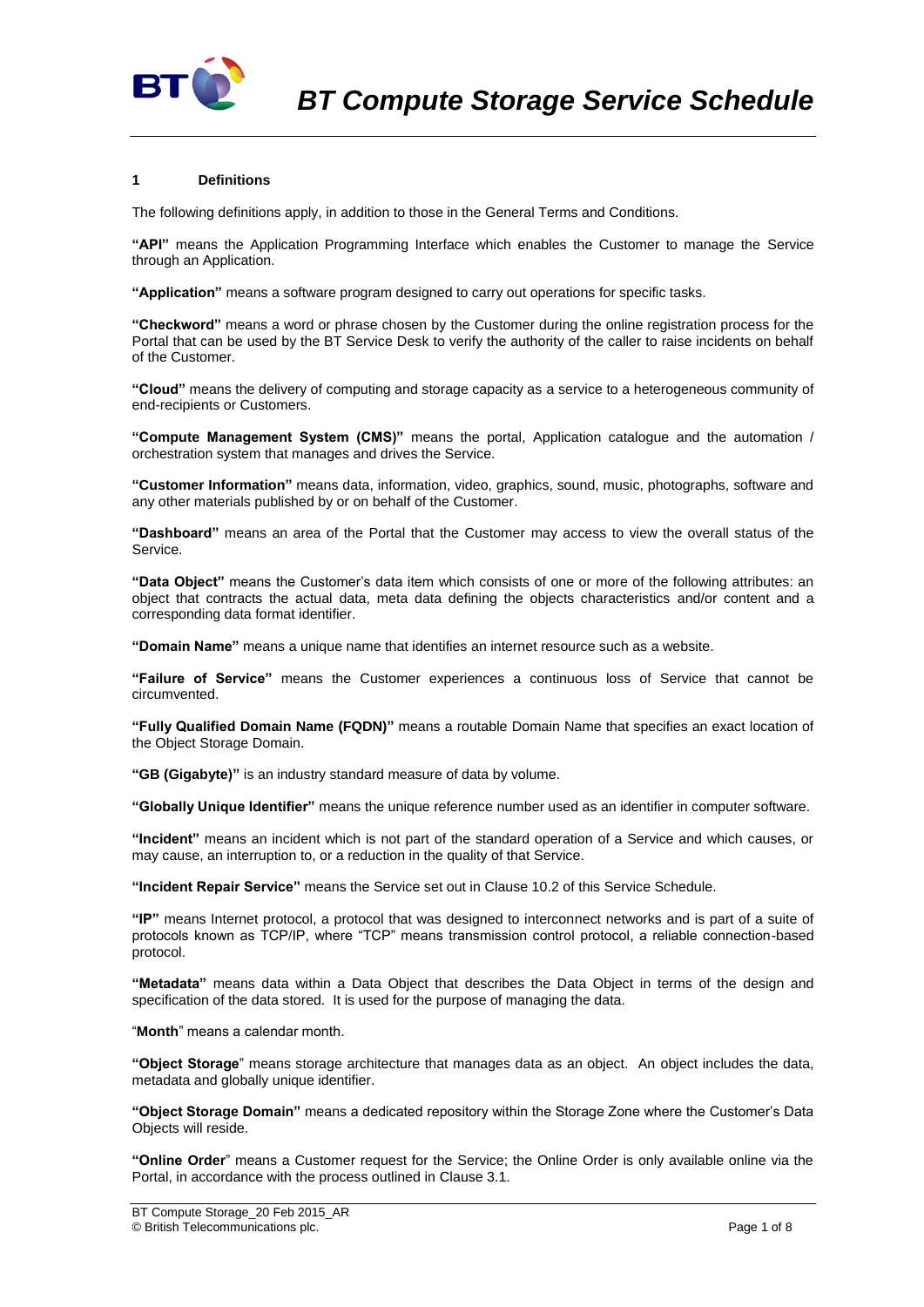

# **1 Definitions**

The following definitions apply, in addition to those in the General Terms and Conditions.

**"API"** means the Application Programming Interface which enables the Customer to manage the Service through an Application.

**"Application"** means a software program designed to carry out operations for specific tasks.

**"Checkword"** means a word or phrase chosen by the Customer during the online registration process for the Portal that can be used by the BT Service Desk to verify the authority of the caller to raise incidents on behalf of the Customer.

**"Cloud"** means the delivery of computing and storage capacity as a service to a heterogeneous community of end-recipients or Customers.

**"Compute Management System (CMS)"** means the portal, Application catalogue and the automation / orchestration system that manages and drives the Service.

**"Customer Information"** means data, information, video, graphics, sound, music, photographs, software and any other materials published by or on behalf of the Customer.

**"Dashboard"** means an area of the Portal that the Customer may access to view the overall status of the Service.

**"Data Object"** means the Customer's data item which consists of one or more of the following attributes: an object that contracts the actual data, meta data defining the objects characteristics and/or content and a corresponding data format identifier.

**"Domain Name"** means a unique name that identifies an internet resource such as a website.

**"Failure of Service"** means the Customer experiences a continuous loss of Service that cannot be circumvented.

**"Fully Qualified Domain Name (FQDN)"** means a routable Domain Name that specifies an exact location of the Object Storage Domain.

**"GB (Gigabyte)"** is an industry standard measure of data by volume.

**"Globally Unique Identifier"** means the unique reference number used as an identifier in computer software.

**"Incident"** means an incident which is not part of the standard operation of a Service and which causes, or may cause, an interruption to, or a reduction in the quality of that Service.

**"Incident Repair Service"** means the Service set out in Clause [10.2](#page-3-0) of this Service Schedule.

**"IP"** means Internet protocol, a protocol that was designed to interconnect networks and is part of a suite of protocols known as TCP/IP, where "TCP" means transmission control protocol, a reliable connection-based protocol.

**"Metadata"** means data within a Data Object that describes the Data Object in terms of the design and specification of the data stored. It is used for the purpose of managing the data.

"**Month**" means a calendar month.

**"Object Storage**" means storage architecture that manages data as an object. An object includes the data, metadata and globally unique identifier.

**"Object Storage Domain"** means a dedicated repository within the Storage Zone where the Customer's Data Objects will reside.

**"Online Order**" means a Customer request for the Service; the Online Order is only available online via the Portal, in accordance with the process outlined in Claus[e 3.1.](#page-1-0)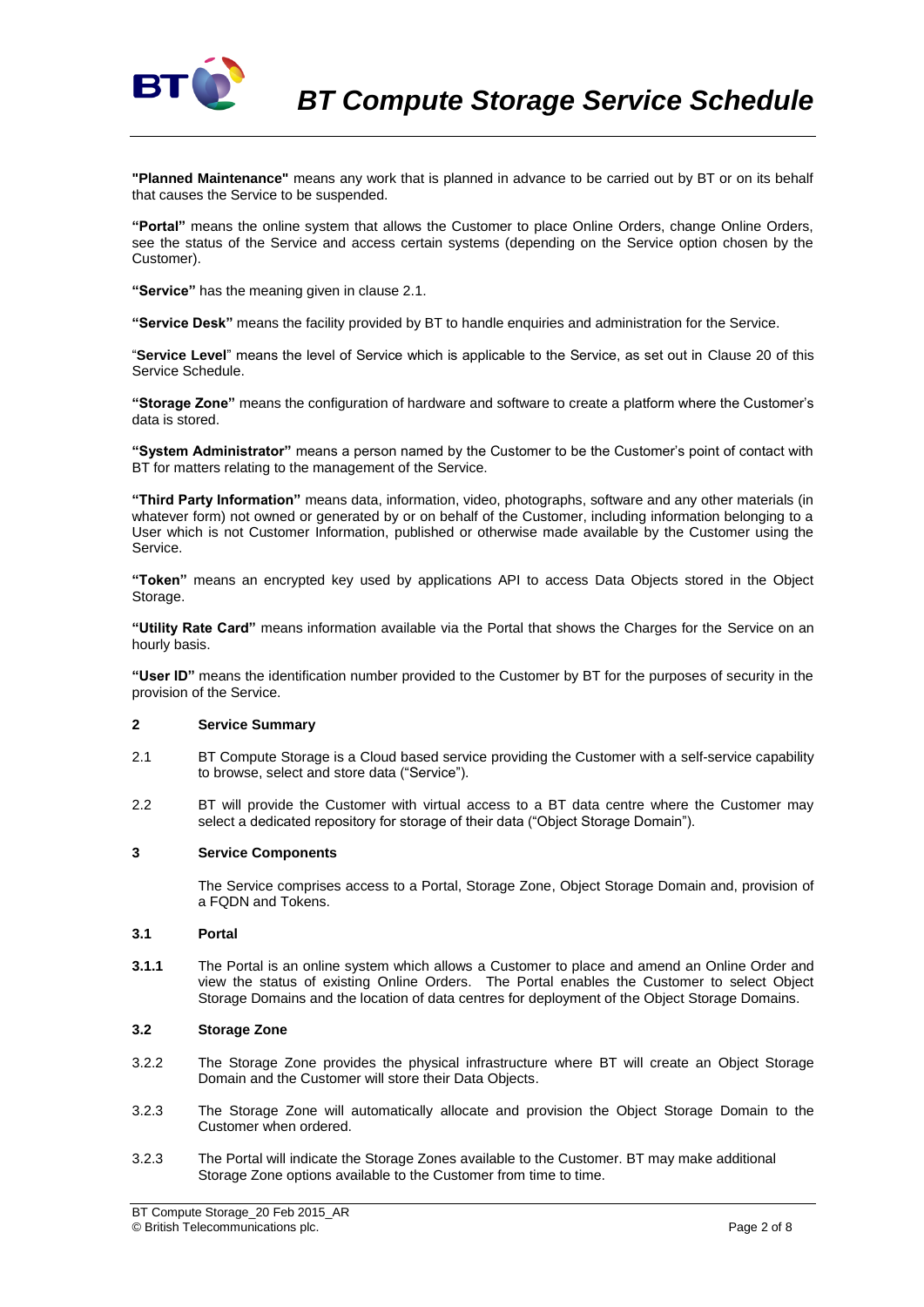

**"Planned Maintenance"** means any work that is planned in advance to be carried out by BT or on its behalf that causes the Service to be suspended.

**"Portal"** means the online system that allows the Customer to place Online Orders, change Online Orders, see the status of the Service and access certain systems (depending on the Service option chosen by the Customer).

**"Service"** has the meaning given in clause 2.1.

**"Service Desk"** means the facility provided by BT to handle enquiries and administration for the Service.

"**Service Level**" means the level of Service which is applicable to the Service, as set out in Clause 20 of this Service Schedule.

**"Storage Zone"** means the configuration of hardware and software to create a platform where the Customer's data is stored.

**"System Administrator"** means a person named by the Customer to be the Customer's point of contact with BT for matters relating to the management of the Service.

**"Third Party Information"** means data, information, video, photographs, software and any other materials (in whatever form) not owned or generated by or on behalf of the Customer, including information belonging to a User which is not Customer Information, published or otherwise made available by the Customer using the Service.

**"Token"** means an encrypted key used by applications API to access Data Objects stored in the Object Storage.

**"Utility Rate Card"** means information available via the Portal that shows the Charges for the Service on an hourly basis.

**"User ID"** means the identification number provided to the Customer by BT for the purposes of security in the provision of the Service.

# **2 Service Summary**

- 2.1 BT Compute Storage is a Cloud based service providing the Customer with a self-service capability to browse, select and store data ("Service").
- 2.2 BT will provide the Customer with virtual access to a BT data centre where the Customer may select a dedicated repository for storage of their data ("Object Storage Domain").

## **3 Service Components**

The Service comprises access to a Portal, Storage Zone, Object Storage Domain and, provision of a FQDN and Tokens.

## <span id="page-1-0"></span>**3.1 Portal**

**3.1.1** The Portal is an online system which allows a Customer to place and amend an Online Order and view the status of existing Online Orders. The Portal enables the Customer to select Object Storage Domains and the location of data centres for deployment of the Object Storage Domains.

## **3.2 Storage Zone**

- 3.2.2 The Storage Zone provides the physical infrastructure where BT will create an Object Storage Domain and the Customer will store their Data Objects.
- 3.2.3 The Storage Zone will automatically allocate and provision the Object Storage Domain to the Customer when ordered.
- 3.2.3 The Portal will indicate the Storage Zones available to the Customer. BT may make additional Storage Zone options available to the Customer from time to time.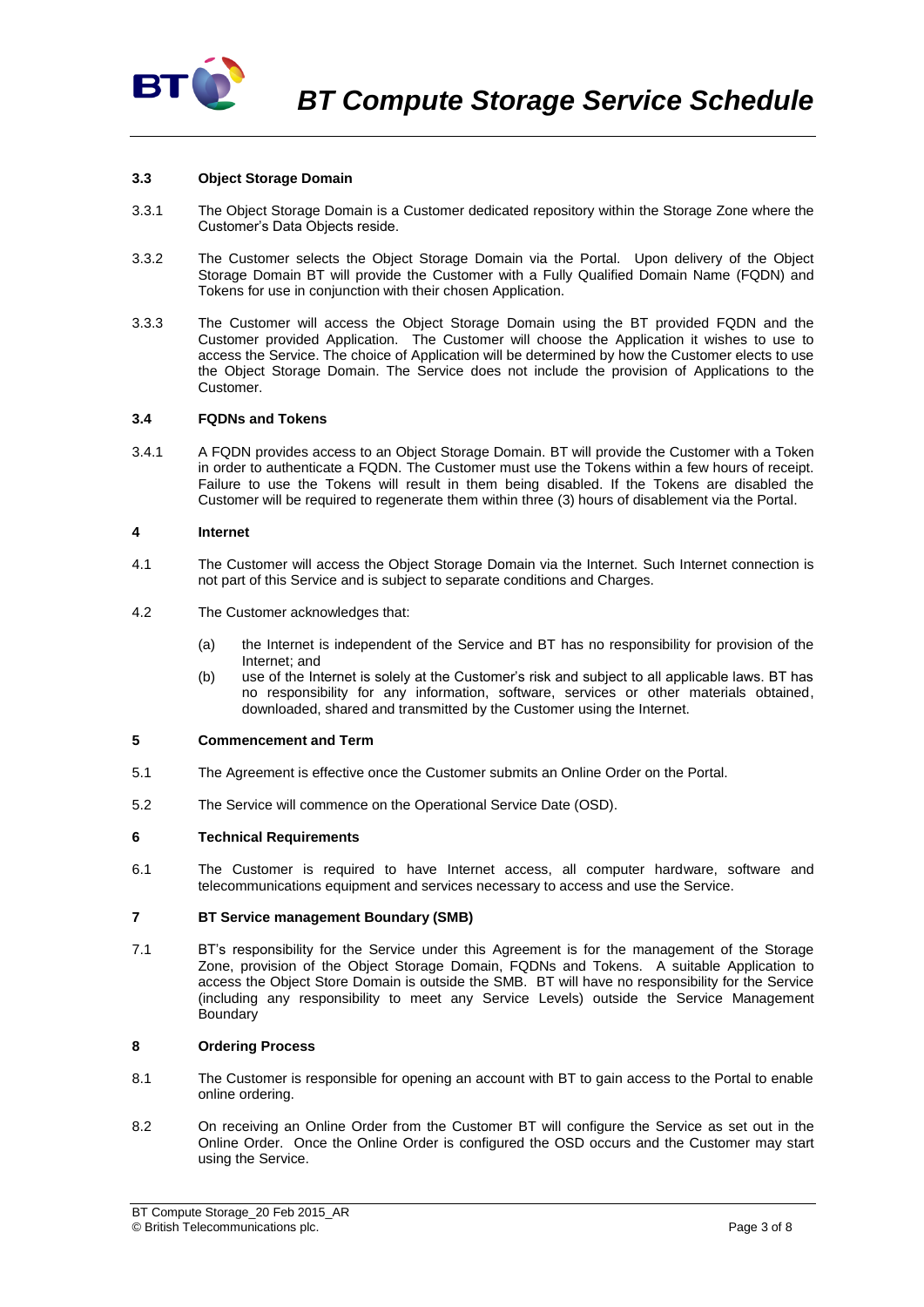

## **3.3 Object Storage Domain**

- 3.3.1 The Object Storage Domain is a Customer dedicated repository within the Storage Zone where the Customer's Data Objects reside.
- 3.3.2 The Customer selects the Object Storage Domain via the Portal. Upon delivery of the Object Storage Domain BT will provide the Customer with a Fully Qualified Domain Name (FQDN) and Tokens for use in conjunction with their chosen Application.
- 3.3.3 The Customer will access the Object Storage Domain using the BT provided FQDN and the Customer provided Application. The Customer will choose the Application it wishes to use to access the Service. The choice of Application will be determined by how the Customer elects to use the Object Storage Domain. The Service does not include the provision of Applications to the Customer.

## **3.4 FQDNs and Tokens**

3.4.1 A FQDN provides access to an Object Storage Domain. BT will provide the Customer with a Token in order to authenticate a FQDN. The Customer must use the Tokens within a few hours of receipt. Failure to use the Tokens will result in them being disabled. If the Tokens are disabled the Customer will be required to regenerate them within three (3) hours of disablement via the Portal.

## **4 Internet**

- 4.1 The Customer will access the Object Storage Domain via the Internet. Such Internet connection is not part of this Service and is subject to separate conditions and Charges.
- 4.2 The Customer acknowledges that:
	- (a) the Internet is independent of the Service and BT has no responsibility for provision of the Internet; and
	- (b) use of the Internet is solely at the Customer's risk and subject to all applicable laws. BT has no responsibility for any information, software, services or other materials obtained, downloaded, shared and transmitted by the Customer using the Internet.

## **5 Commencement and Term**

- 5.1 The Agreement is effective once the Customer submits an Online Order on the Portal.
- 5.2 The Service will commence on the Operational Service Date (OSD).

## **6 Technical Requirements**

6.1 The Customer is required to have Internet access, all computer hardware, software and telecommunications equipment and services necessary to access and use the Service.

## **7 BT Service management Boundary (SMB)**

7.1 BT's responsibility for the Service under this Agreement is for the management of the Storage Zone, provision of the Object Storage Domain, FQDNs and Tokens. A suitable Application to access the Object Store Domain is outside the SMB. BT will have no responsibility for the Service (including any responsibility to meet any Service Levels) outside the Service Management **Boundary** 

# **8 Ordering Process**

- 8.1 The Customer is responsible for opening an account with BT to gain access to the Portal to enable online ordering.
- 8.2 On receiving an Online Order from the Customer BT will configure the Service as set out in the Online Order. Once the Online Order is configured the OSD occurs and the Customer may start using the Service.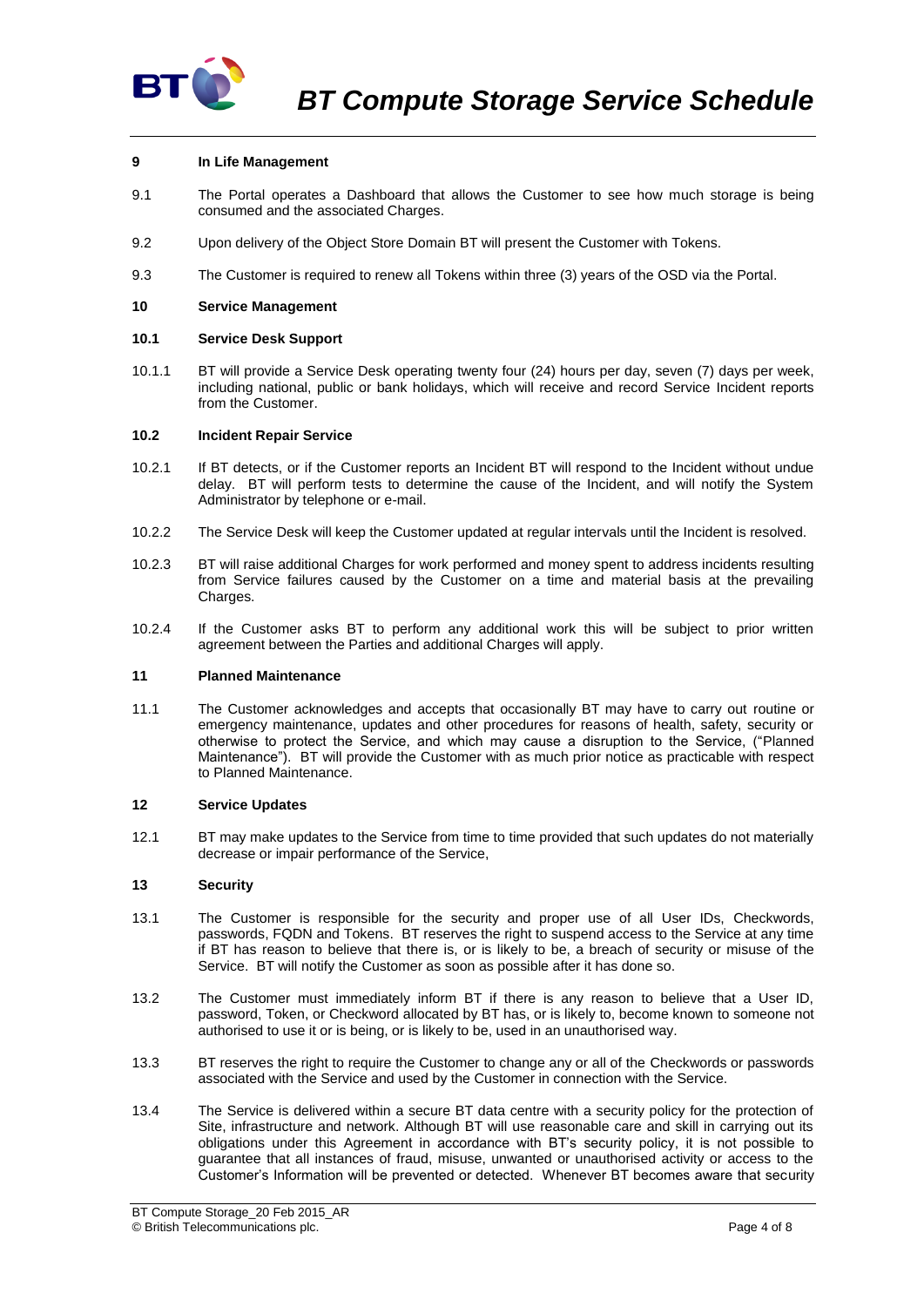

# **9 In Life Management**

- 9.1 The Portal operates a Dashboard that allows the Customer to see how much storage is being consumed and the associated Charges.
- 9.2 Upon delivery of the Object Store Domain BT will present the Customer with Tokens.
- 9.3 The Customer is required to renew all Tokens within three (3) years of the OSD via the Portal.

## **10 Service Management**

## **10.1 Service Desk Support**

10.1.1 BT will provide a Service Desk operating twenty four (24) hours per day, seven (7) days per week, including national, public or bank holidays, which will receive and record Service Incident reports from the Customer.

## <span id="page-3-0"></span>**10.2 Incident Repair Service**

- 10.2.1 If BT detects, or if the Customer reports an Incident BT will respond to the Incident without undue delay. BT will perform tests to determine the cause of the Incident, and will notify the System Administrator by telephone or e-mail.
- 10.2.2 The Service Desk will keep the Customer updated at regular intervals until the Incident is resolved.
- 10.2.3 BT will raise additional Charges for work performed and money spent to address incidents resulting from Service failures caused by the Customer on a time and material basis at the prevailing Charges.
- 10.2.4 If the Customer asks BT to perform any additional work this will be subject to prior written agreement between the Parties and additional Charges will apply.

## **11 Planned Maintenance**

11.1 The Customer acknowledges and accepts that occasionally BT may have to carry out routine or emergency maintenance, updates and other procedures for reasons of health, safety, security or otherwise to protect the Service, and which may cause a disruption to the Service, ("Planned Maintenance"). BT will provide the Customer with as much prior notice as practicable with respect to Planned Maintenance.

## **12 Service Updates**

12.1 BT may make updates to the Service from time to time provided that such updates do not materially decrease or impair performance of the Service,

## **13 Security**

- 13.1 The Customer is responsible for the security and proper use of all User IDs, Checkwords, passwords, FQDN and Tokens. BT reserves the right to suspend access to the Service at any time if BT has reason to believe that there is, or is likely to be, a breach of security or misuse of the Service. BT will notify the Customer as soon as possible after it has done so.
- 13.2 The Customer must immediately inform BT if there is any reason to believe that a User ID, password, Token, or Checkword allocated by BT has, or is likely to, become known to someone not authorised to use it or is being, or is likely to be, used in an unauthorised way.
- 13.3 BT reserves the right to require the Customer to change any or all of the Checkwords or passwords associated with the Service and used by the Customer in connection with the Service.
- 13.4 The Service is delivered within a secure BT data centre with a security policy for the protection of Site, infrastructure and network. Although BT will use reasonable care and skill in carrying out its obligations under this Agreement in accordance with BT's security policy, it is not possible to guarantee that all instances of fraud, misuse, unwanted or unauthorised activity or access to the Customer's Information will be prevented or detected. Whenever BT becomes aware that security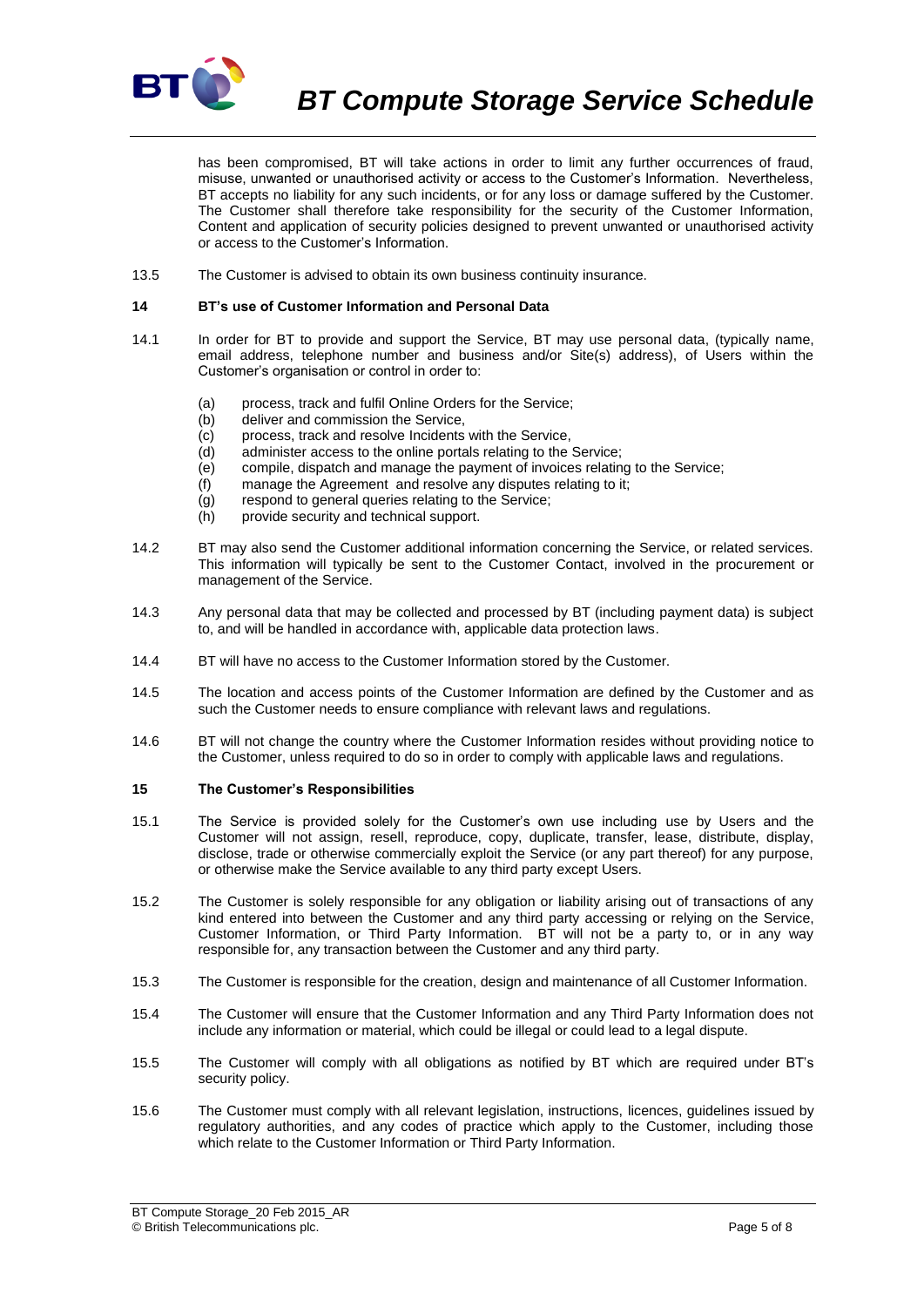

*BT Compute Storage Service Schedule*

has been compromised, BT will take actions in order to limit any further occurrences of fraud, misuse, unwanted or unauthorised activity or access to the Customer's Information. Nevertheless, BT accepts no liability for any such incidents, or for any loss or damage suffered by the Customer. The Customer shall therefore take responsibility for the security of the Customer Information, Content and application of security policies designed to prevent unwanted or unauthorised activity or access to the Customer's Information.

13.5 The Customer is advised to obtain its own business continuity insurance.

#### **14 BT's use of Customer Information and Personal Data**

- 14.1 In order for BT to provide and support the Service, BT may use personal data, (typically name, email address, telephone number and business and/or Site(s) address), of Users within the Customer's organisation or control in order to:
	- (a) process, track and fulfil Online Orders for the Service;
	- (b) deliver and commission the Service,
	- (c) process, track and resolve Incidents with the Service,
	- (d) administer access to the online portals relating to the Service;
	- (e) compile, dispatch and manage the payment of invoices relating to the Service;
	- (f) manage the Agreement and resolve any disputes relating to it;
	- (g) respond to general queries relating to the Service;
	- (h) provide security and technical support.
- 14.2 BT may also send the Customer additional information concerning the Service, or related services. This information will typically be sent to the Customer Contact, involved in the procurement or management of the Service.
- 14.3 Any personal data that may be collected and processed by BT (including payment data) is subject to, and will be handled in accordance with, applicable data protection laws.
- 14.4 BT will have no access to the Customer Information stored by the Customer.
- 14.5 The location and access points of the Customer Information are defined by the Customer and as such the Customer needs to ensure compliance with relevant laws and regulations.
- 14.6 BT will not change the country where the Customer Information resides without providing notice to the Customer, unless required to do so in order to comply with applicable laws and regulations.

#### <span id="page-4-0"></span>**15 The Customer's Responsibilities**

- 15.1 The Service is provided solely for the Customer's own use including use by Users and the Customer will not assign, resell, reproduce, copy, duplicate, transfer, lease, distribute, display, disclose, trade or otherwise commercially exploit the Service (or any part thereof) for any purpose, or otherwise make the Service available to any third party except Users.
- 15.2 The Customer is solely responsible for any obligation or liability arising out of transactions of any kind entered into between the Customer and any third party accessing or relying on the Service, Customer Information, or Third Party Information. BT will not be a party to, or in any way responsible for, any transaction between the Customer and any third party.
- 15.3 The Customer is responsible for the creation, design and maintenance of all Customer Information.
- 15.4 The Customer will ensure that the Customer Information and any Third Party Information does not include any information or material, which could be illegal or could lead to a legal dispute.
- 15.5 The Customer will comply with all obligations as notified by BT which are required under BT's security policy.
- 15.6 The Customer must comply with all relevant legislation, instructions, licences, guidelines issued by regulatory authorities, and any codes of practice which apply to the Customer, including those which relate to the Customer Information or Third Party Information.

BT Compute Storage\_20 Feb 2015\_AR © British Telecommunications plc. Page 5 of 8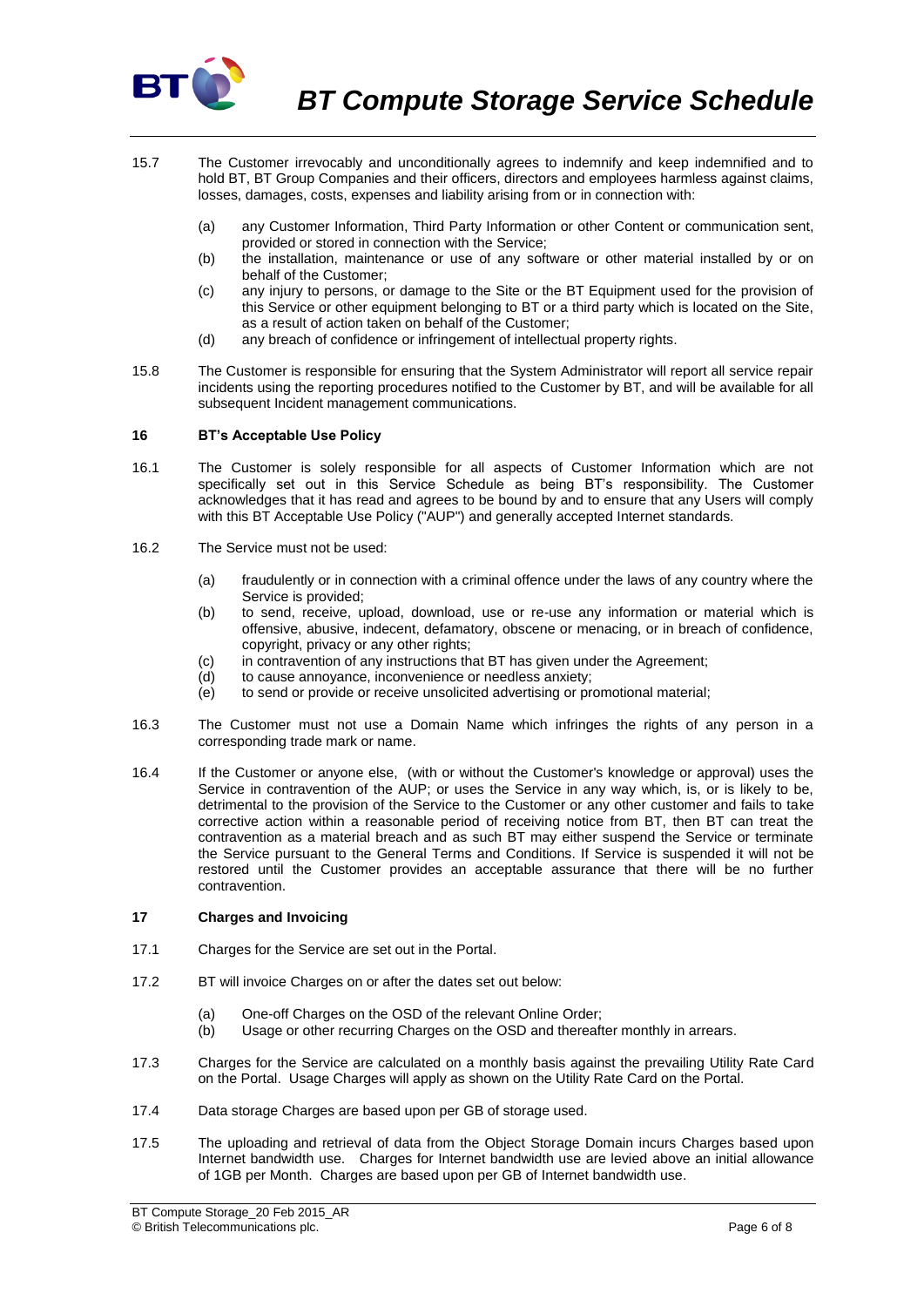

- 15.7 The Customer irrevocably and unconditionally agrees to indemnify and keep indemnified and to hold BT, BT Group Companies and their officers, directors and employees harmless against claims, losses, damages, costs, expenses and liability arising from or in connection with:
	- (a) any Customer Information, Third Party Information or other Content or communication sent, provided or stored in connection with the Service;
	- (b) the installation, maintenance or use of any software or other material installed by or on behalf of the Customer;
	- (c) any injury to persons, or damage to the Site or the BT Equipment used for the provision of this Service or other equipment belonging to BT or a third party which is located on the Site, as a result of action taken on behalf of the Customer;
	- (d) any breach of confidence or infringement of intellectual property rights.
- 15.8 The Customer is responsible for ensuring that the System Administrator will report all service repair incidents using the reporting procedures notified to the Customer by BT, and will be available for all subsequent Incident management communications.

# **16 BT's Acceptable Use Policy**

- 16.1 The Customer is solely responsible for all aspects of Customer Information which are not specifically set out in this Service Schedule as being BT's responsibility. The Customer acknowledges that it has read and agrees to be bound by and to ensure that any Users will comply with this BT Acceptable Use Policy ("AUP") and generally accepted Internet standards.
- 16.2 The Service must not be used:
	- (a) fraudulently or in connection with a criminal offence under the laws of any country where the Service is provided;
	- (b) to send, receive, upload, download, use or re-use any information or material which is offensive, abusive, indecent, defamatory, obscene or menacing, or in breach of confidence, copyright, privacy or any other rights;
	- (c) in contravention of any instructions that BT has given under the Agreement;
	- (d) to cause annoyance, inconvenience or needless anxiety;
	- $\overrightarrow{e}$  to send or provide or receive unsolicited advertising or promotional material;
- 16.3 The Customer must not use a Domain Name which infringes the rights of any person in a corresponding trade mark or name.
- 16.4 If the Customer or anyone else, (with or without the Customer's knowledge or approval) uses the Service in contravention of the AUP; or uses the Service in any way which, is, or is likely to be, detrimental to the provision of the Service to the Customer or any other customer and fails to take corrective action within a reasonable period of receiving notice from BT, then BT can treat the contravention as a material breach and as such BT may either suspend the Service or terminate the Service pursuant to the General Terms and Conditions. If Service is suspended it will not be restored until the Customer provides an acceptable assurance that there will be no further contravention.

## **17 Charges and Invoicing**

- 17.1 Charges for the Service are set out in the Portal.
- 17.2 BT will invoice Charges on or after the dates set out below:
	- (a) One-off Charges on the OSD of the relevant Online Order;
	- (b) Usage or other recurring Charges on the OSD and thereafter monthly in arrears.
- 17.3 Charges for the Service are calculated on a monthly basis against the prevailing Utility Rate Card on the Portal. Usage Charges will apply as shown on the Utility Rate Card on the Portal.
- 17.4 Data storage Charges are based upon per GB of storage used.
- 17.5 The uploading and retrieval of data from the Object Storage Domain incurs Charges based upon Internet bandwidth use. Charges for Internet bandwidth use are levied above an initial allowance of 1GB per Month. Charges are based upon per GB of Internet bandwidth use.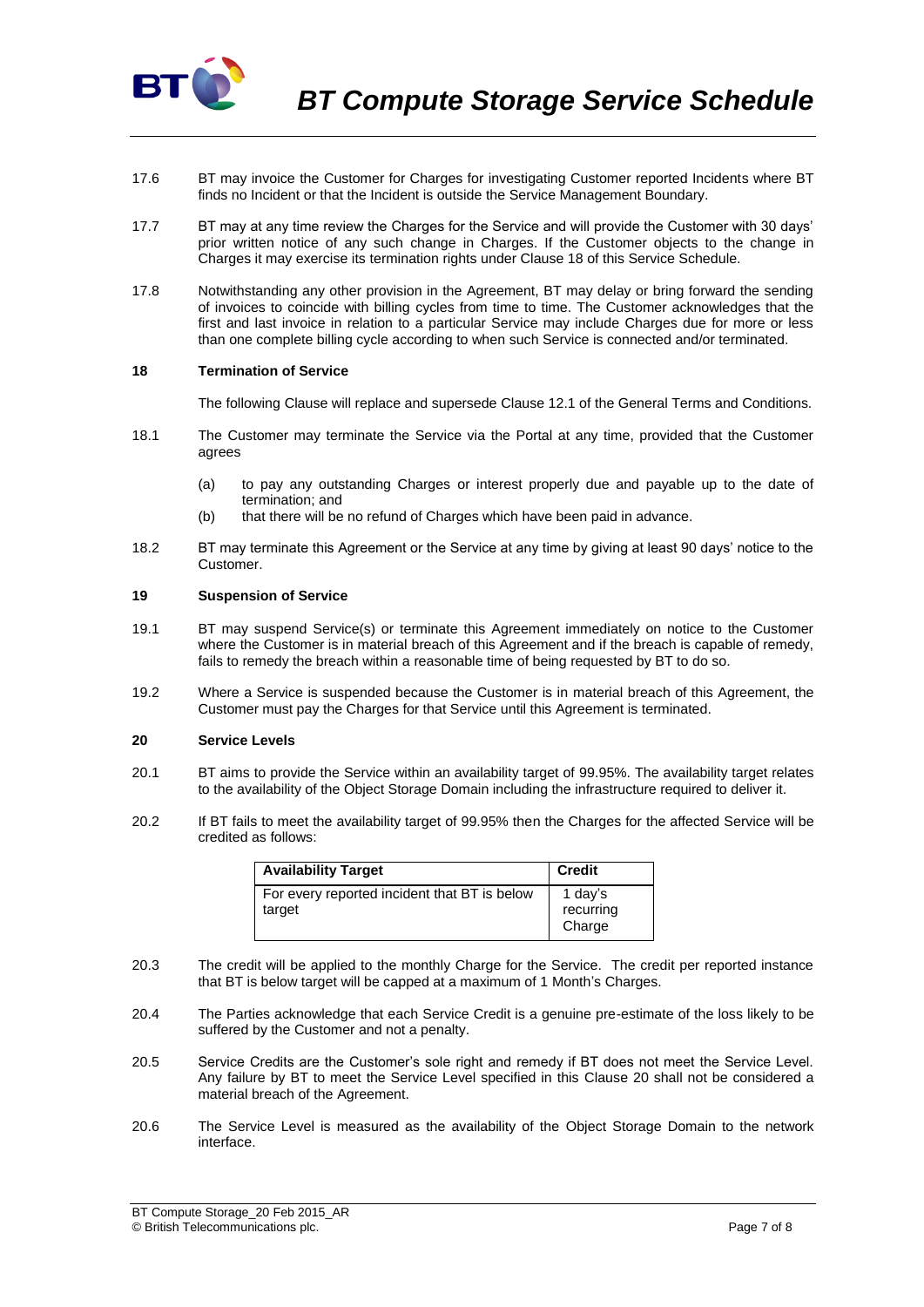

- 17.6 BT may invoice the Customer for Charges for investigating Customer reported Incidents where BT finds no Incident or that the Incident is outside the Service Management Boundary.
- 17.7 BT may at any time review the Charges for the Service and will provide the Customer with 30 days' prior written notice of any such change in Charges. If the Customer objects to the change in Charges it may exercise its termination rights under Clause 18 of this Service Schedule.
- 17.8 Notwithstanding any other provision in the Agreement, BT may delay or bring forward the sending of invoices to coincide with billing cycles from time to time. The Customer acknowledges that the first and last invoice in relation to a particular Service may include Charges due for more or less than one complete billing cycle according to when such Service is connected and/or terminated.

## **18 Termination of Service**

The following Clause will replace and supersede Clause 12.1 of the General Terms and Conditions.

- 18.1 The Customer may terminate the Service via the Portal at any time, provided that the Customer agrees
	- (a) to pay any outstanding Charges or interest properly due and payable up to the date of termination; and
	- (b) that there will be no refund of Charges which have been paid in advance.
- 18.2 BT may terminate this Agreement or the Service at any time by giving at least 90 days' notice to the Customer.

#### **19 Suspension of Service**

- 19.1 BT may suspend Service(s) or terminate this Agreement immediately on notice to the Customer where the Customer is in material breach of this Agreement and if the breach is capable of remedy, fails to remedy the breach within a reasonable time of being requested by BT to do so.
- 19.2 Where a Service is suspended because the Customer is in material breach of this Agreement, the Customer must pay the Charges for that Service until this Agreement is terminated.

## <span id="page-6-0"></span>**20 Service Levels**

- 20.1 BT aims to provide the Service within an availability target of 99.95%. The availability target relates to the availability of the Object Storage Domain including the infrastructure required to deliver it.
- 20.2 If BT fails to meet the availability target of 99.95% then the Charges for the affected Service will be credited as follows:

| <b>Availability Target</b>                             | <b>Credit</b>                  |
|--------------------------------------------------------|--------------------------------|
| For every reported incident that BT is below<br>target | 1 day's<br>recurring<br>Charge |

- 20.3 The credit will be applied to the monthly Charge for the Service. The credit per reported instance that BT is below target will be capped at a maximum of 1 Month's Charges.
- 20.4 The Parties acknowledge that each Service Credit is a genuine pre-estimate of the loss likely to be suffered by the Customer and not a penalty.
- 20.5 Service Credits are the Customer's sole right and remedy if BT does not meet the Service Level. Any failure by BT to meet the Service Level specified in this Clause [20](#page-6-0) shall not be considered a material breach of the Agreement.
- 20.6 The Service Level is measured as the availability of the Object Storage Domain to the network interface.

BT Compute Storage\_20 Feb 2015\_AR © British Telecommunications plc. Page 7 of 8